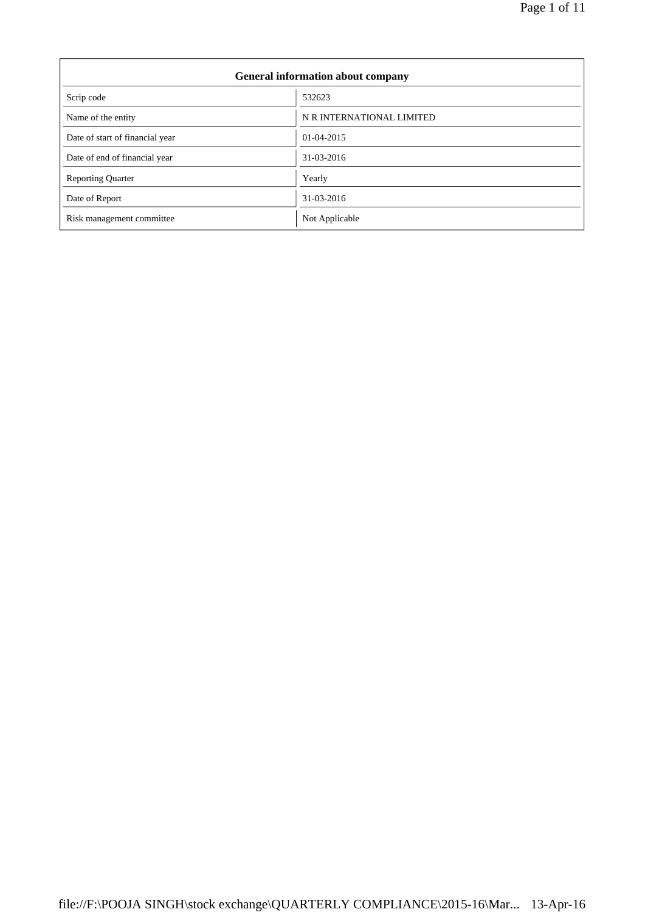| <b>General information about company</b> |                           |  |  |
|------------------------------------------|---------------------------|--|--|
| Scrip code                               | 532623                    |  |  |
| Name of the entity                       | N R INTERNATIONAL LIMITED |  |  |
| Date of start of financial year          | 01-04-2015                |  |  |
| Date of end of financial year            | 31-03-2016                |  |  |
| <b>Reporting Quarter</b>                 | Yearly                    |  |  |
| Date of Report                           | 31-03-2016                |  |  |
| Risk management committee                | Not Applicable            |  |  |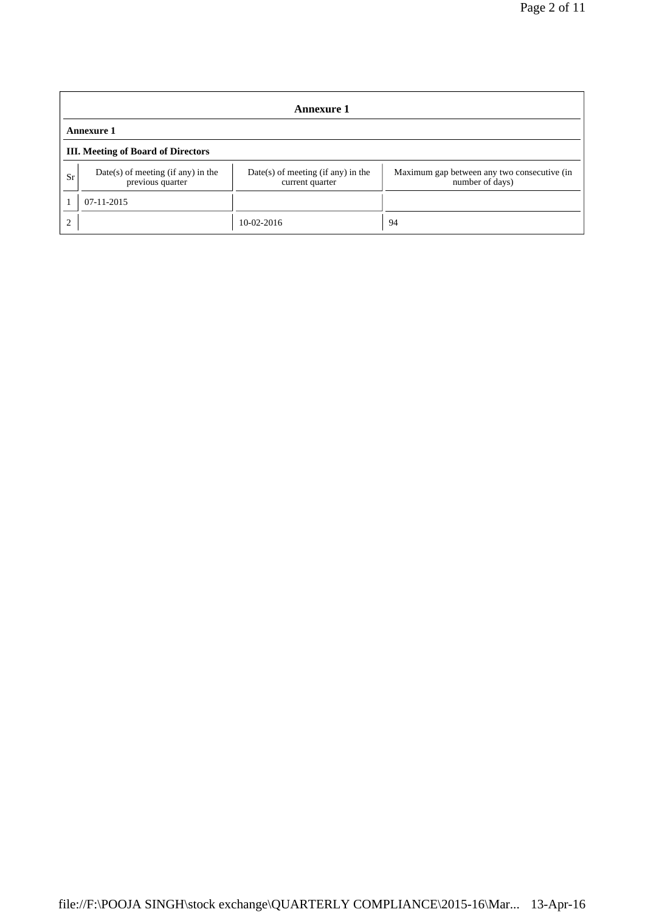| <b>Annexure 1</b> |                                                          |                                                       |                                                                |  |  |
|-------------------|----------------------------------------------------------|-------------------------------------------------------|----------------------------------------------------------------|--|--|
|                   | <b>Annexure 1</b>                                        |                                                       |                                                                |  |  |
|                   | <b>III.</b> Meeting of Board of Directors                |                                                       |                                                                |  |  |
| Sr                | $Date(s)$ of meeting (if any) in the<br>previous quarter | Date(s) of meeting (if any) in the<br>current quarter | Maximum gap between any two consecutive (in<br>number of days) |  |  |
|                   | $07-11-2015$                                             |                                                       |                                                                |  |  |
| $\overline{c}$    |                                                          | $10-02-2016$                                          | 94                                                             |  |  |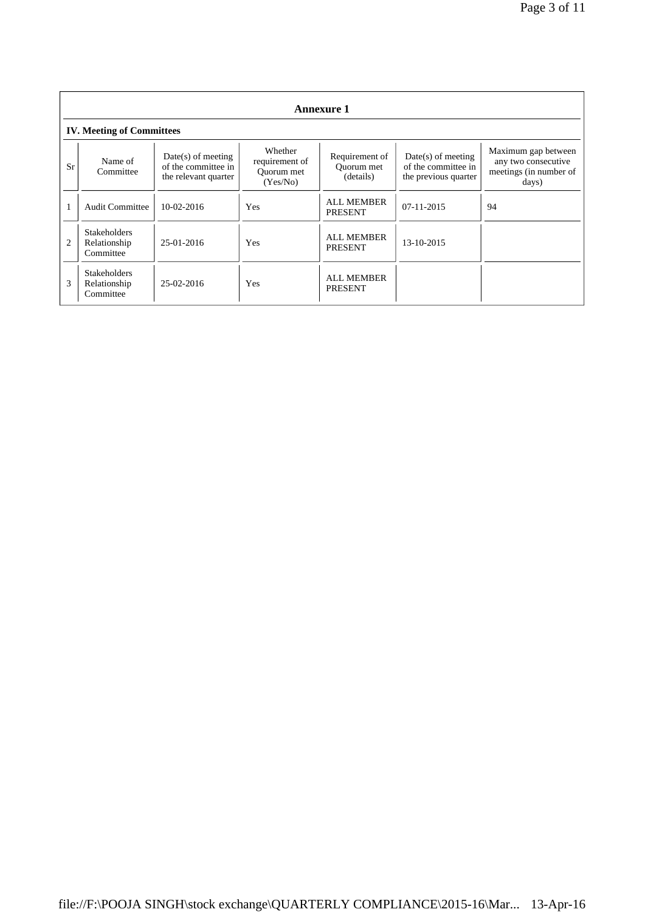|                | <b>Annexure 1</b>                                |                                                                     |                                                     |                                           |                                                                     |                                                                               |
|----------------|--------------------------------------------------|---------------------------------------------------------------------|-----------------------------------------------------|-------------------------------------------|---------------------------------------------------------------------|-------------------------------------------------------------------------------|
|                | <b>IV. Meeting of Committees</b>                 |                                                                     |                                                     |                                           |                                                                     |                                                                               |
| Sr             | Name of<br>Committee                             | $Date(s)$ of meeting<br>of the committee in<br>the relevant quarter | Whether<br>requirement of<br>Ouorum met<br>(Yes/No) | Requirement of<br>Ouorum met<br>(details) | $Date(s)$ of meeting<br>of the committee in<br>the previous quarter | Maximum gap between<br>any two consecutive<br>meetings (in number of<br>days) |
|                | <b>Audit Committee</b>                           | $10-02-2016$                                                        | <b>Yes</b>                                          | <b>ALL MEMBER</b><br><b>PRESENT</b>       | 07-11-2015                                                          | 94                                                                            |
| $\overline{2}$ | <b>Stakeholders</b><br>Relationship<br>Committee | 25-01-2016                                                          | Yes                                                 | <b>ALL MEMBER</b><br><b>PRESENT</b>       | 13-10-2015                                                          |                                                                               |
| 3              | <b>Stakeholders</b><br>Relationship<br>Committee | $25-02-2016$                                                        | <b>Yes</b>                                          | <b>ALL MEMBER</b><br><b>PRESENT</b>       |                                                                     |                                                                               |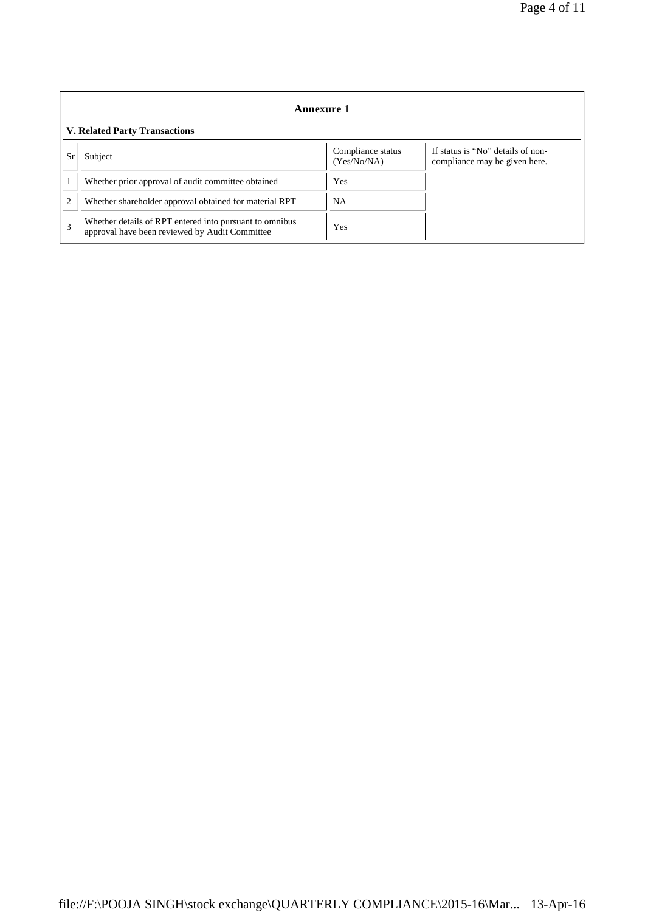|                | Annexure 1                                                                                                |                                  |                                                                    |  |  |
|----------------|-----------------------------------------------------------------------------------------------------------|----------------------------------|--------------------------------------------------------------------|--|--|
|                | <b>V. Related Party Transactions</b>                                                                      |                                  |                                                                    |  |  |
| Sr             | Subject                                                                                                   | Compliance status<br>(Yes/No/NA) | If status is "No" details of non-<br>compliance may be given here. |  |  |
|                | Whether prior approval of audit committee obtained                                                        | Yes                              |                                                                    |  |  |
| $\overline{c}$ | Whether shareholder approval obtained for material RPT                                                    | <b>NA</b>                        |                                                                    |  |  |
| 3              | Whether details of RPT entered into pursuant to omnibus<br>approval have been reviewed by Audit Committee | Yes                              |                                                                    |  |  |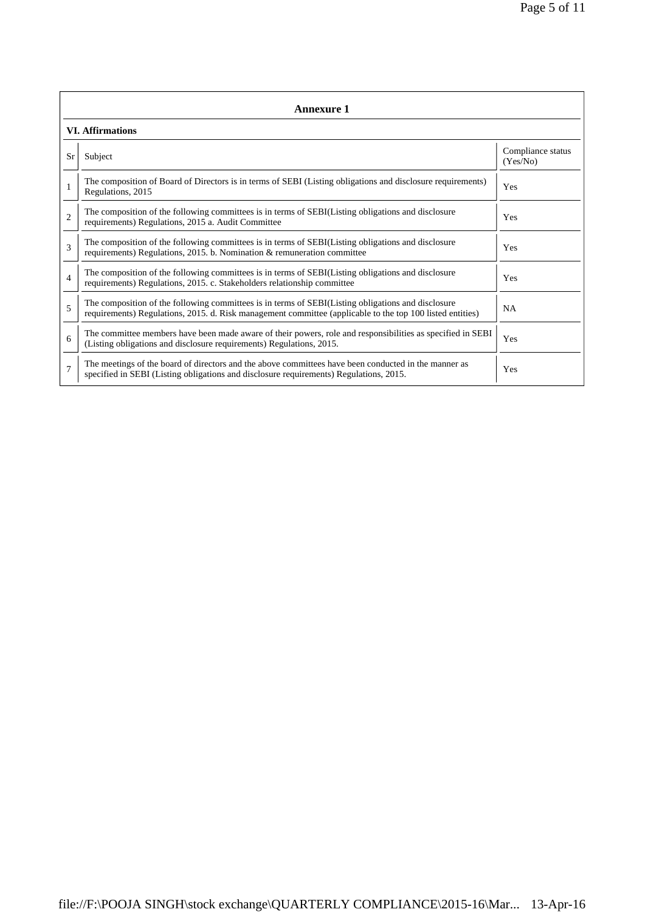|                | <b>Annexure 1</b>                                                                                                                                                                                               |                               |  |  |  |
|----------------|-----------------------------------------------------------------------------------------------------------------------------------------------------------------------------------------------------------------|-------------------------------|--|--|--|
|                | <b>VI.</b> Affirmations                                                                                                                                                                                         |                               |  |  |  |
| Sr             | Subject                                                                                                                                                                                                         | Compliance status<br>(Yes/No) |  |  |  |
| $\mathbf{1}$   | The composition of Board of Directors is in terms of SEBI (Listing obligations and disclosure requirements)<br>Regulations, 2015                                                                                | Yes                           |  |  |  |
| $\overline{c}$ | The composition of the following committees is in terms of SEBI(Listing obligations and disclosure<br>requirements) Regulations, 2015 a. Audit Committee                                                        | Yes                           |  |  |  |
| 3              | The composition of the following committees is in terms of SEBI(Listing obligations and disclosure<br>requirements) Regulations, 2015. b. Nomination & remuneration committee                                   | Yes                           |  |  |  |
| $\overline{4}$ | The composition of the following committees is in terms of SEBI(Listing obligations and disclosure<br>requirements) Regulations, 2015. c. Stakeholders relationship committee                                   | Yes                           |  |  |  |
| 5              | The composition of the following committees is in terms of SEBI(Listing obligations and disclosure<br>requirements) Regulations, 2015. d. Risk management committee (applicable to the top 100 listed entities) | <b>NA</b>                     |  |  |  |
| 6              | The committee members have been made aware of their powers, role and responsibilities as specified in SEBI<br>(Listing obligations and disclosure requirements) Regulations, 2015.                              | Yes                           |  |  |  |
| $\overline{7}$ | The meetings of the board of directors and the above committees have been conducted in the manner as<br>specified in SEBI (Listing obligations and disclosure requirements) Regulations, 2015.                  | Yes                           |  |  |  |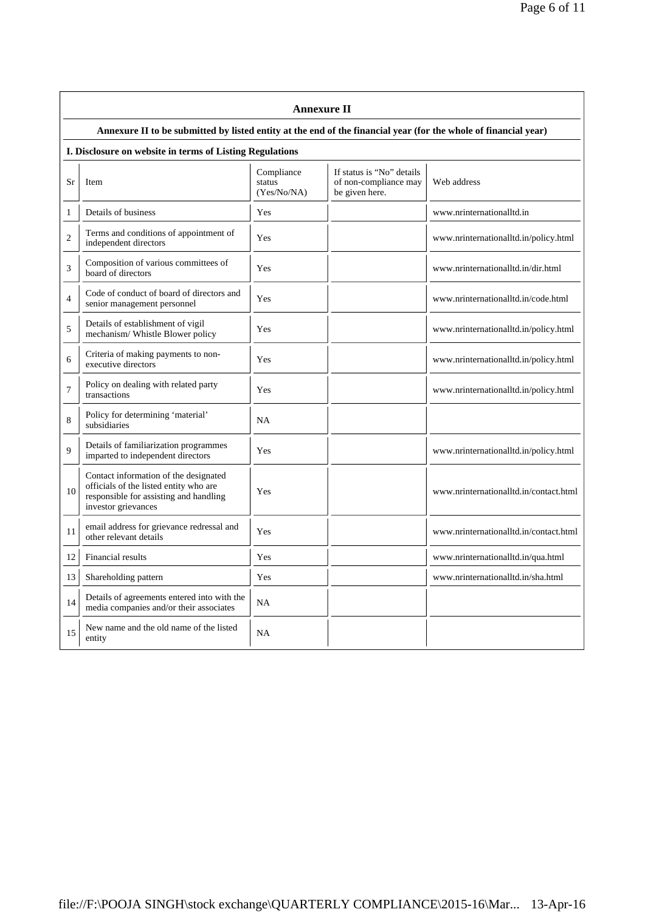|                | <b>Annexure II</b>                                                                                                                               |                                     |                                                                      |                                        |  |  |
|----------------|--------------------------------------------------------------------------------------------------------------------------------------------------|-------------------------------------|----------------------------------------------------------------------|----------------------------------------|--|--|
|                | Annexure II to be submitted by listed entity at the end of the financial year (for the whole of financial year)                                  |                                     |                                                                      |                                        |  |  |
|                | I. Disclosure on website in terms of Listing Regulations                                                                                         |                                     |                                                                      |                                        |  |  |
| Sr             | <b>Item</b>                                                                                                                                      | Compliance<br>status<br>(Yes/No/NA) | If status is "No" details<br>of non-compliance may<br>be given here. | Web address                            |  |  |
| 1              | Details of business                                                                                                                              | <b>Yes</b>                          |                                                                      | www.nrinternationalltd.in              |  |  |
| $\overline{c}$ | Terms and conditions of appointment of<br>independent directors                                                                                  | Yes                                 |                                                                      | www.nrinternationalltd.in/policy.html  |  |  |
| 3              | Composition of various committees of<br>board of directors                                                                                       | Yes                                 |                                                                      | www.nrinternationalltd.in/dir.html     |  |  |
| $\overline{4}$ | Code of conduct of board of directors and<br>senior management personnel                                                                         | Yes                                 |                                                                      | www.nrinternationalltd.in/code.html    |  |  |
| 5              | Details of establishment of vigil<br>mechanism/ Whistle Blower policy                                                                            | Yes                                 |                                                                      | www.nrinternationalltd.in/policy.html  |  |  |
| 6              | Criteria of making payments to non-<br>executive directors                                                                                       | Yes                                 |                                                                      | www.nrinternationalltd.in/policy.html  |  |  |
| $\overline{7}$ | Policy on dealing with related party<br>transactions                                                                                             | Yes                                 |                                                                      | www.nrinternationalltd.in/policy.html  |  |  |
| 8              | Policy for determining 'material'<br>subsidiaries                                                                                                | NA                                  |                                                                      |                                        |  |  |
| 9              | Details of familiarization programmes<br>imparted to independent directors                                                                       | Yes                                 |                                                                      | www.nrinternationalltd.in/policy.html  |  |  |
| 10             | Contact information of the designated<br>officials of the listed entity who are<br>responsible for assisting and handling<br>investor grievances | Yes                                 |                                                                      | www.nrinternationalltd.in/contact.html |  |  |
| 11             | email address for grievance redressal and<br>other relevant details                                                                              | Yes                                 |                                                                      | www.nrinternationalltd.in/contact.html |  |  |
| 12             | Financial results                                                                                                                                | Yes                                 |                                                                      | www.nrinternationalltd.in/qua.html     |  |  |
| 13             | Shareholding pattern                                                                                                                             | Yes                                 |                                                                      | www.nrinternationalltd.in/sha.html     |  |  |
| 14             | Details of agreements entered into with the<br>media companies and/or their associates                                                           | NA                                  |                                                                      |                                        |  |  |
| 15             | New name and the old name of the listed<br>entity                                                                                                | NA                                  |                                                                      |                                        |  |  |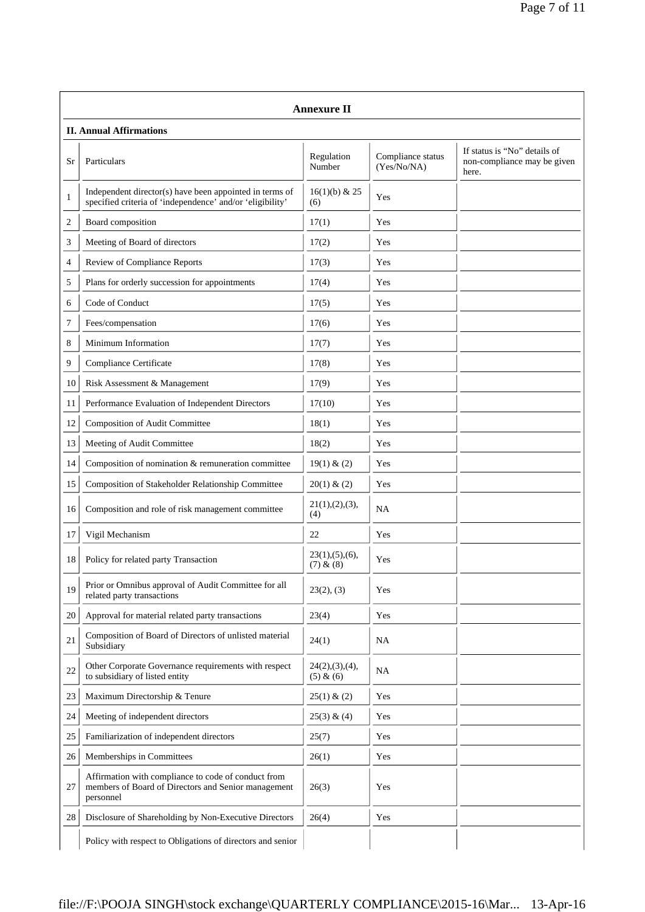| <b>Annexure II</b> |                                                                                                                         |                               |                                  |                                                                      |
|--------------------|-------------------------------------------------------------------------------------------------------------------------|-------------------------------|----------------------------------|----------------------------------------------------------------------|
|                    | <b>II. Annual Affirmations</b>                                                                                          |                               |                                  |                                                                      |
| Sr                 | Particulars                                                                                                             | Regulation<br>Number          | Compliance status<br>(Yes/No/NA) | If status is "No" details of<br>non-compliance may be given<br>here. |
| 1                  | Independent director(s) have been appointed in terms of<br>specified criteria of 'independence' and/or 'eligibility'    | $16(1)(b)$ & 25<br>(6)        | Yes                              |                                                                      |
| 2                  | Board composition                                                                                                       | 17(1)                         | Yes                              |                                                                      |
| 3                  | Meeting of Board of directors                                                                                           | 17(2)                         | Yes                              |                                                                      |
| 4                  | Review of Compliance Reports                                                                                            | 17(3)                         | Yes                              |                                                                      |
| 5                  | Plans for orderly succession for appointments                                                                           | 17(4)                         | Yes                              |                                                                      |
| 6                  | Code of Conduct                                                                                                         | 17(5)                         | Yes                              |                                                                      |
| 7                  | Fees/compensation                                                                                                       | 17(6)                         | Yes                              |                                                                      |
| 8                  | Minimum Information                                                                                                     | 17(7)                         | Yes                              |                                                                      |
| 9                  | Compliance Certificate                                                                                                  | 17(8)                         | Yes                              |                                                                      |
| 10                 | Risk Assessment & Management                                                                                            | 17(9)                         | Yes                              |                                                                      |
| 11                 | Performance Evaluation of Independent Directors                                                                         | 17(10)                        | Yes                              |                                                                      |
| 12                 | Composition of Audit Committee                                                                                          | 18(1)                         | Yes                              |                                                                      |
| 13                 | Meeting of Audit Committee                                                                                              | 18(2)                         | Yes                              |                                                                      |
| 14                 | Composition of nomination & remuneration committee                                                                      | 19(1) & (2)                   | Yes                              |                                                                      |
| 15                 | Composition of Stakeholder Relationship Committee                                                                       | 20(1) & (2)                   | Yes                              |                                                                      |
| 16                 | Composition and role of risk management committee                                                                       | 21(1), (2), (3),<br>(4)       | NA                               |                                                                      |
| 17                 | Vigil Mechanism                                                                                                         | 22                            | Yes                              |                                                                      |
| 18                 | Policy for related party Transaction                                                                                    | 23(1), (5), (6),<br>(7) & (8) | Yes                              |                                                                      |
| 19                 | Prior or Omnibus approval of Audit Committee for all<br>related party transactions                                      | 23(2), (3)                    | Yes                              |                                                                      |
| 20                 | Approval for material related party transactions                                                                        | 23(4)                         | Yes                              |                                                                      |
| 21                 | Composition of Board of Directors of unlisted material<br>Subsidiary                                                    | 24(1)                         | NA                               |                                                                      |
| 22                 | Other Corporate Governance requirements with respect<br>to subsidiary of listed entity                                  | 24(2), (3), (4),<br>(5) & (6) | NA                               |                                                                      |
| 23                 | Maximum Directorship & Tenure                                                                                           | 25(1) & (2)                   | Yes                              |                                                                      |
| 24                 | Meeting of independent directors                                                                                        | 25(3) & (4)                   | Yes                              |                                                                      |
| 25                 | Familiarization of independent directors                                                                                | 25(7)                         | Yes                              |                                                                      |
| 26                 | Memberships in Committees                                                                                               | 26(1)                         | Yes                              |                                                                      |
| 27                 | Affirmation with compliance to code of conduct from<br>members of Board of Directors and Senior management<br>personnel | 26(3)                         | Yes                              |                                                                      |
| 28                 | Disclosure of Shareholding by Non-Executive Directors                                                                   | 26(4)                         | Yes                              |                                                                      |
|                    | Policy with respect to Obligations of directors and senior                                                              |                               |                                  |                                                                      |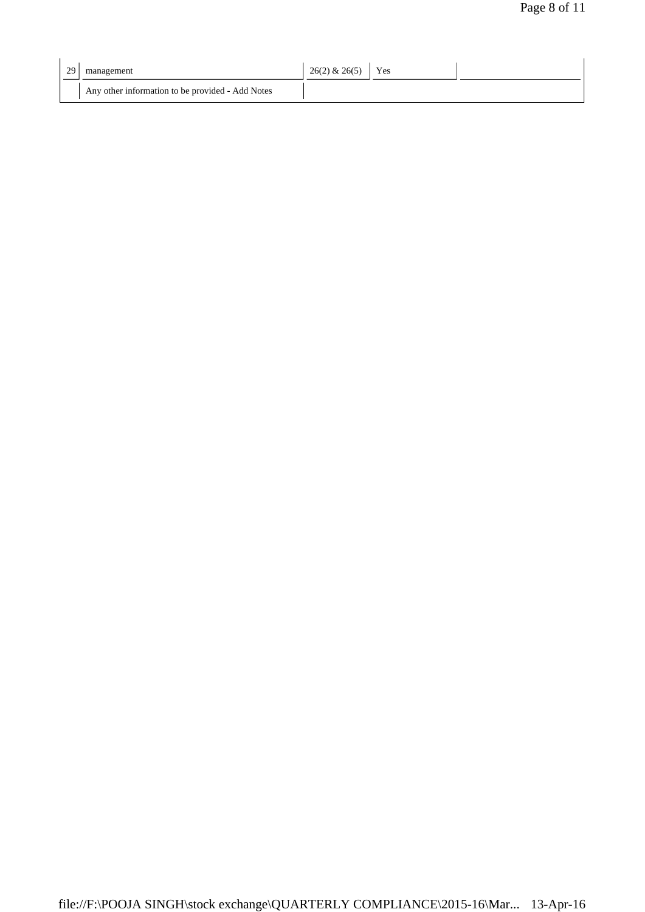| 29 | management                                       | $26(2)$ & $26(5)$ | Yes |  |
|----|--------------------------------------------------|-------------------|-----|--|
|    | Any other information to be provided - Add Notes |                   |     |  |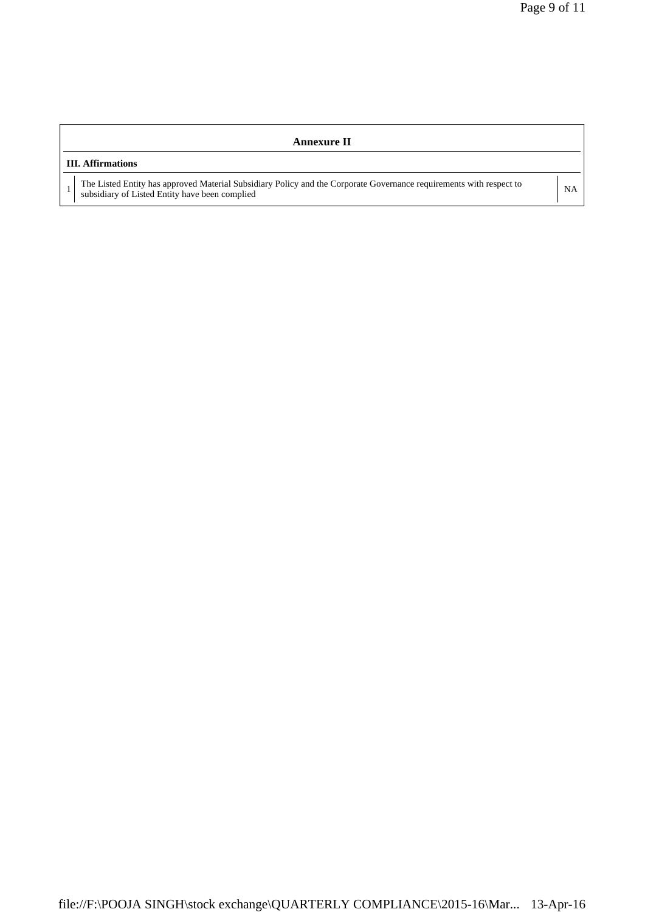| Annexure II                                                                                                                                                        |           |  |  |
|--------------------------------------------------------------------------------------------------------------------------------------------------------------------|-----------|--|--|
| <b>III.</b> Affirmations                                                                                                                                           |           |  |  |
| The Listed Entity has approved Material Subsidiary Policy and the Corporate Governance requirements with respect to subsidiary of Listed Entity have been complied | <b>NA</b> |  |  |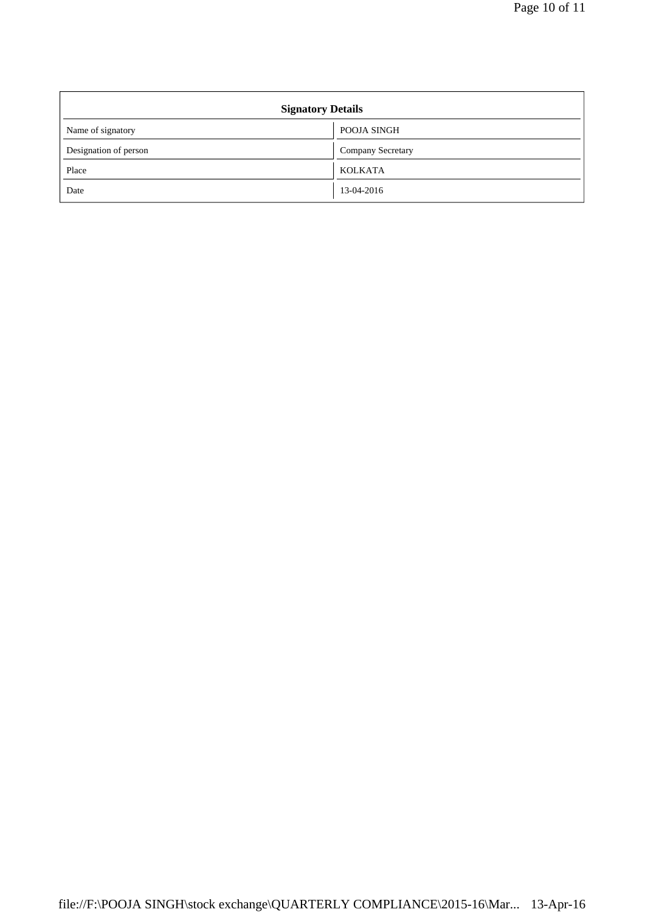| <b>Signatory Details</b> |                          |  |
|--------------------------|--------------------------|--|
| Name of signatory        | POOJA SINGH              |  |
| Designation of person    | <b>Company Secretary</b> |  |
| Place                    | <b>KOLKATA</b>           |  |
| Date                     | 13-04-2016               |  |